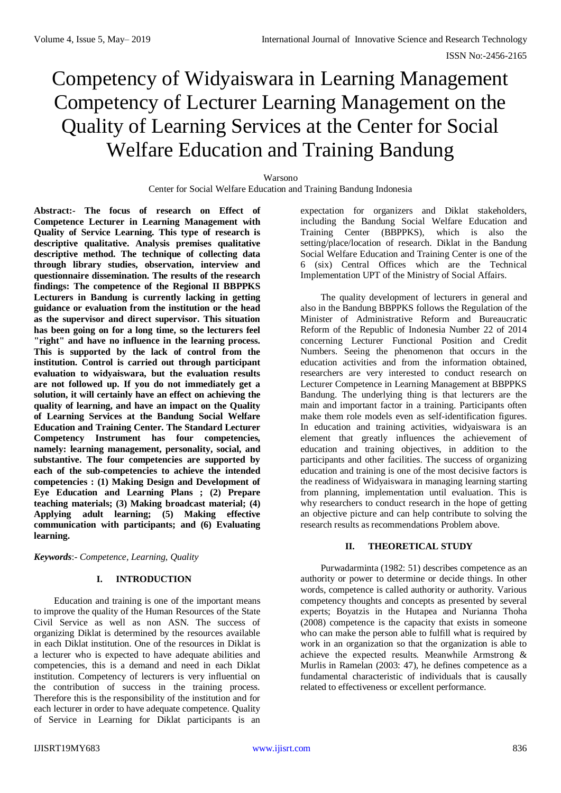# Competency of Widyaiswara in Learning Management Competency of Lecturer Learning Management on the Quality of Learning Services at the Center for Social Welfare Education and Training Bandung

#### Warsono

Center for Social Welfare Education and Training Bandung Indonesia

**Abstract:- The focus of research on Effect of Competence Lecturer in Learning Management with Quality of Service Learning. This type of research is descriptive qualitative. Analysis premises qualitative descriptive method. The technique of collecting data through library studies, observation, interview and questionnaire dissemination. The results of the research findings: The competence of the Regional II BBPPKS Lecturers in Bandung is currently lacking in getting guidance or evaluation from the institution or the head as the supervisor and direct supervisor. This situation has been going on for a long time, so the lecturers feel "right" and have no influence in the learning process. This is supported by the lack of control from the institution. Control is carried out through participant evaluation to widyaiswara, but the evaluation results are not followed up. If you do not immediately get a solution, it will certainly have an effect on achieving the quality of learning, and have an impact on the Quality of Learning Services at the Bandung Social Welfare Education and Training Center. The Standard Lecturer Competency Instrument has four competencies, namely: learning management, personality, social, and substantive. The four competencies are supported by each of the sub-competencies to achieve the intended competencies : (1) Making Design and Development of Eye Education and Learning Plans ; (2) Prepare teaching materials; (3) Making broadcast material; (4) Applying adult learning; (5) Making effective communication with participants; and (6) Evaluating learning.** 

*Keywords*:- *Competence, Learning, Quality* 

## **I. INTRODUCTION**

Education and training is one of the important means to improve the quality of the Human Resources of the State Civil Service as well as non ASN. The success of organizing Diklat is determined by the resources available in each Diklat institution. One of the resources in Diklat is a lecturer who is expected to have adequate abilities and competencies, this is a demand and need in each Diklat institution. Competency of lecturers is very influential on the contribution of success in the training process. Therefore this is the responsibility of the institution and for each lecturer in order to have adequate competence. Quality of Service in Learning for Diklat participants is an

expectation for organizers and Diklat stakeholders, including the Bandung Social Welfare Education and Training Center (BBPPKS), which is also the setting/place/location of research. Diklat in the Bandung Social Welfare Education and Training Center is one of the 6 (six) Central Offices which are the Technical Implementation UPT of the Ministry of Social Affairs.

The quality development of lecturers in general and also in the Bandung BBPPKS follows the Regulation of the Minister of Administrative Reform and Bureaucratic Reform of the Republic of Indonesia Number 22 of 2014 concerning Lecturer Functional Position and Credit Numbers. Seeing the phenomenon that occurs in the education activities and from the information obtained, researchers are very interested to conduct research on Lecturer Competence in Learning Management at BBPPKS Bandung. The underlying thing is that lecturers are the main and important factor in a training. Participants often make them role models even as self-identification figures. In education and training activities, widyaiswara is an element that greatly influences the achievement of education and training objectives, in addition to the participants and other facilities. The success of organizing education and training is one of the most decisive factors is the readiness of Widyaiswara in managing learning starting from planning, implementation until evaluation. This is why researchers to conduct research in the hope of getting an objective picture and can help contribute to solving the research results as recommendations Problem above.

# **II. THEORETICAL STUDY**

Purwadarminta (1982: 51) describes competence as an authority or power to determine or decide things. In other words, competence is called authority or authority. Various competency thoughts and concepts as presented by several experts; Boyatzis in the Hutapea and Nurianna Thoha (2008) competence is the capacity that exists in someone who can make the person able to fulfill what is required by work in an organization so that the organization is able to achieve the expected results. Meanwhile Armstrong & Murlis in Ramelan (2003: 47), he defines competence as a fundamental characteristic of individuals that is causally related to effectiveness or excellent performance.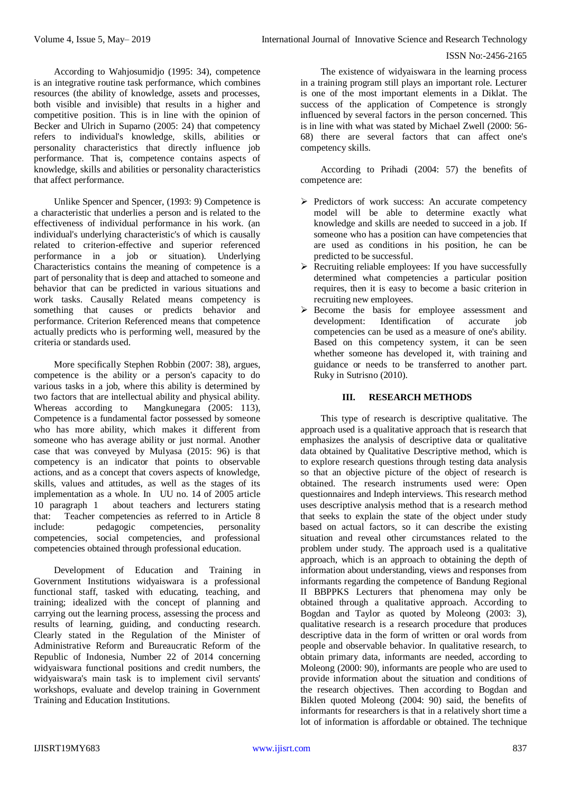### ISSN No:-2456-2165

According to Wahjosumidjo (1995: 34), competence is an integrative routine task performance, which combines resources (the ability of knowledge, assets and processes, both visible and invisible) that results in a higher and competitive position. This is in line with the opinion of Becker and Ulrich in Suparno (2005: 24) that competency refers to individual's knowledge, skills, abilities or personality characteristics that directly influence job performance. That is, competence contains aspects of knowledge, skills and abilities or personality characteristics that affect performance.

Unlike Spencer and Spencer, (1993: 9) Competence is a characteristic that underlies a person and is related to the effectiveness of individual performance in his work. (an individual's underlying characteristic's of which is causally related to criterion-effective and superior referenced performance in a job or situation). Underlying Characteristics contains the meaning of competence is a part of personality that is deep and attached to someone and behavior that can be predicted in various situations and work tasks. Causally Related means competency is something that causes or predicts behavior and performance. Criterion Referenced means that competence actually predicts who is performing well, measured by the criteria or standards used.

More specifically Stephen Robbin (2007: 38), argues, competence is the ability or a person's capacity to do various tasks in a job, where this ability is determined by two factors that are intellectual ability and physical ability.<br>Whereas according to Mangkunegara (2005: 113), Mangkunegara  $(2005: 113)$ , Competence is a fundamental factor possessed by someone who has more ability, which makes it different from someone who has average ability or just normal. Another case that was conveyed by Mulyasa (2015: 96) is that competency is an indicator that points to observable actions, and as a concept that covers aspects of knowledge, skills, values and attitudes, as well as the stages of its implementation as a whole. In UU no. 14 of 2005 article 10 paragraph 1 about teachers and lecturers stating that: Teacher competencies as referred to in Article 8 include: pedagogic competencies, personality competencies, social competencies, and professional competencies obtained through professional education.

Development of Education and Training in Government Institutions widyaiswara is a professional functional staff, tasked with educating, teaching, and training; idealized with the concept of planning and carrying out the learning process, assessing the process and results of learning, guiding, and conducting research. Clearly stated in the Regulation of the Minister of Administrative Reform and Bureaucratic Reform of the Republic of Indonesia, Number 22 of 2014 concerning widyaiswara functional positions and credit numbers, the widyaiswara's main task is to implement civil servants' workshops, evaluate and develop training in Government Training and Education Institutions.

The existence of widyaiswara in the learning process in a training program still plays an important role. Lecturer is one of the most important elements in a Diklat. The success of the application of Competence is strongly influenced by several factors in the person concerned. This is in line with what was stated by Michael Zwell (2000: 56- 68) there are several factors that can affect one's competency skills.

According to Prihadi (2004: 57) the benefits of competence are:

- $\triangleright$  Predictors of work success: An accurate competency model will be able to determine exactly what knowledge and skills are needed to succeed in a job. If someone who has a position can have competencies that are used as conditions in his position, he can be predicted to be successful.
- $\triangleright$  Recruiting reliable employees: If you have successfully determined what competencies a particular position requires, then it is easy to become a basic criterion in recruiting new employees.
- Become the basis for employee assessment and development: Identification of accurate job competencies can be used as a measure of one's ability. Based on this competency system, it can be seen whether someone has developed it, with training and guidance or needs to be transferred to another part. Ruky in Sutrisno (2010).

# **III. RESEARCH METHODS**

This type of research is descriptive qualitative. The approach used is a qualitative approach that is research that emphasizes the analysis of descriptive data or qualitative data obtained by Qualitative Descriptive method, which is to explore research questions through testing data analysis so that an objective picture of the object of research is obtained. The research instruments used were: Open questionnaires and Indeph interviews. This research method uses descriptive analysis method that is a research method that seeks to explain the state of the object under study based on actual factors, so it can describe the existing situation and reveal other circumstances related to the problem under study. The approach used is a qualitative approach, which is an approach to obtaining the depth of information about understanding, views and responses from informants regarding the competence of Bandung Regional II BBPPKS Lecturers that phenomena may only be obtained through a qualitative approach. According to Bogdan and Taylor as quoted by Moleong (2003: 3), qualitative research is a research procedure that produces descriptive data in the form of written or oral words from people and observable behavior. In qualitative research, to obtain primary data, informants are needed, according to Moleong (2000: 90), informants are people who are used to provide information about the situation and conditions of the research objectives. Then according to Bogdan and Biklen quoted Moleong (2004: 90) said, the benefits of informants for researchers is that in a relatively short time a lot of information is affordable or obtained. The technique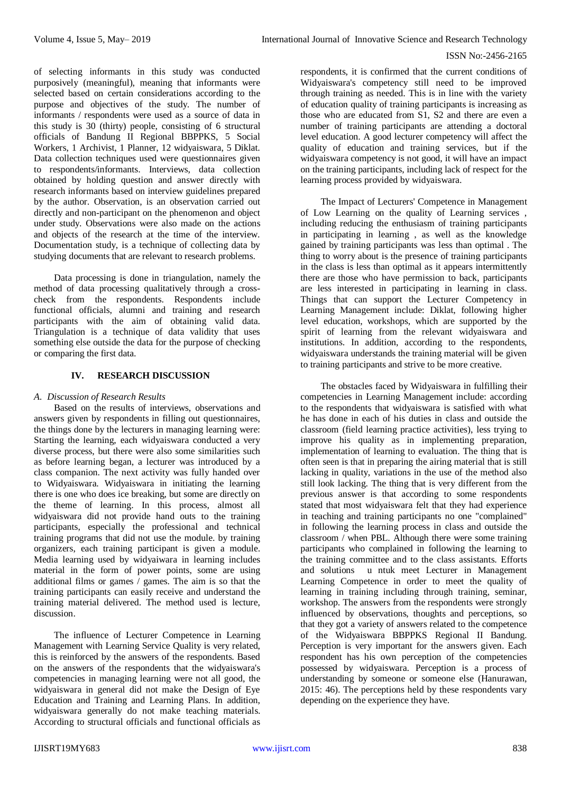of selecting informants in this study was conducted purposively (meaningful), meaning that informants were selected based on certain considerations according to the purpose and objectives of the study. The number of informants / respondents were used as a source of data in this study is 30 (thirty) people, consisting of 6 structural officials of Bandung II Regional BBPPKS, 5 Social Workers, 1 Archivist, 1 Planner, 12 widyaiswara, 5 Diklat. Data collection techniques used were questionnaires given to respondents/informants. Interviews, data collection obtained by holding question and answer directly with research informants based on interview guidelines prepared by the author. Observation, is an observation carried out directly and non-participant on the phenomenon and object under study. Observations were also made on the actions and objects of the research at the time of the interview. Documentation study, is a technique of collecting data by studying documents that are relevant to research problems.

Data processing is done in triangulation, namely the method of data processing qualitatively through a crosscheck from the respondents. Respondents include functional officials, alumni and training and research participants with the aim of obtaining valid data. Triangulation is a technique of data validity that uses something else outside the data for the purpose of checking or comparing the first data.

# **IV. RESEARCH DISCUSSION**

## *A. Discussion of Research Results*

Based on the results of interviews, observations and answers given by respondents in filling out questionnaires, the things done by the lecturers in managing learning were: Starting the learning, each widyaiswara conducted a very diverse process, but there were also some similarities such as before learning began, a lecturer was introduced by a class companion. The next activity was fully handed over to Widyaiswara. Widyaiswara in initiating the learning there is one who does ice breaking, but some are directly on the theme of learning. In this process, almost all widyaiswara did not provide hand outs to the training participants, especially the professional and technical training programs that did not use the module. by training organizers, each training participant is given a module. Media learning used by widyaiwara in learning includes material in the form of power points, some are using additional films or games / games. The aim is so that the training participants can easily receive and understand the training material delivered. The method used is lecture, discussion.

The influence of Lecturer Competence in Learning Management with Learning Service Quality is very related, this is reinforced by the answers of the respondents. Based on the answers of the respondents that the widyaiswara's competencies in managing learning were not all good, the widyaiswara in general did not make the Design of Eye Education and Training and Learning Plans. In addition, widyaiswara generally do not make teaching materials. According to structural officials and functional officials as

respondents, it is confirmed that the current conditions of Widyaiswara's competency still need to be improved through training as needed. This is in line with the variety of education quality of training participants is increasing as those who are educated from S1, S2 and there are even a number of training participants are attending a doctoral level education. A good lecturer competency will affect the quality of education and training services, but if the widyaiswara competency is not good, it will have an impact on the training participants, including lack of respect for the learning process provided by widyaiswara.

The Impact of Lecturers' Competence in Management of Low Learning on the quality of Learning services , including reducing the enthusiasm of training participants in participating in learning , as well as the knowledge gained by training participants was less than optimal . The thing to worry about is the presence of training participants in the class is less than optimal as it appears intermittently there are those who have permission to back, participants are less interested in participating in learning in class. Things that can support the Lecturer Competency in Learning Management include: Diklat, following higher level education, workshops, which are supported by the spirit of learning from the relevant widyaiswara and institutions. In addition, according to the respondents, widyaiswara understands the training material will be given to training participants and strive to be more creative.

The obstacles faced by Widyaiswara in fulfilling their competencies in Learning Management include: according to the respondents that widyaiswara is satisfied with what he has done in each of his duties in class and outside the classroom (field learning practice activities), less trying to improve his quality as in implementing preparation, implementation of learning to evaluation. The thing that is often seen is that in preparing the airing material that is still lacking in quality, variations in the use of the method also still look lacking. The thing that is very different from the previous answer is that according to some respondents stated that most widyaiswara felt that they had experience in teaching and training participants no one "complained" in following the learning process in class and outside the classroom / when PBL. Although there were some training participants who complained in following the learning to the training committee and to the class assistants. Efforts and solutions u ntuk meet Lecturer in Management Learning Competence in order to meet the quality of learning in training including through training, seminar, workshop. The answers from the respondents were strongly influenced by observations, thoughts and perceptions, so that they got a variety of answers related to the competence of the Widyaiswara BBPPKS Regional II Bandung. Perception is very important for the answers given. Each respondent has his own perception of the competencies possessed by widyaiswara. Perception is a process of understanding by someone or someone else (Hanurawan, 2015: 46). The perceptions held by these respondents vary depending on the experience they have.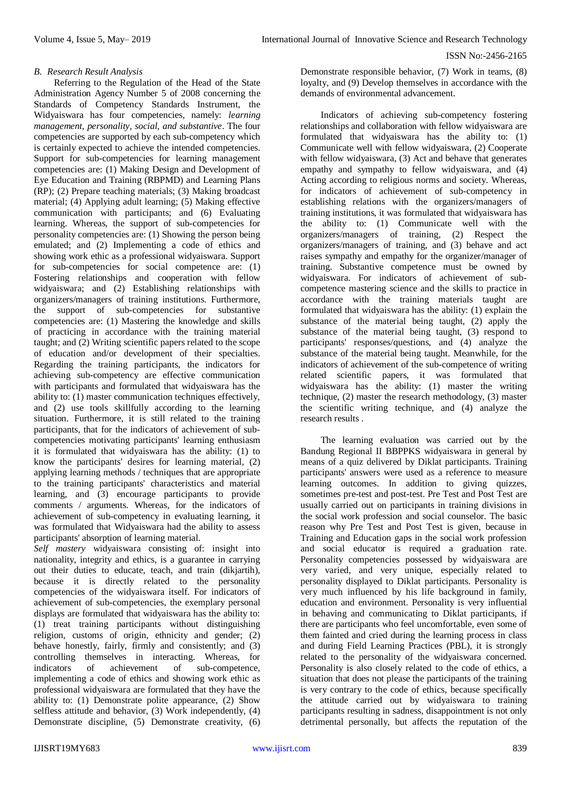### *B. Research Result Analysis*

Referring to the Regulation of the Head of the State Administration Agency Number 5 of 2008 concerning the Standards of Competency Standards Instrument, the Widyaiswara has four competencies, namely: *learning management, personality, social, and substantive*. The four competencies are supported by each sub-competency which is certainly expected to achieve the intended competencies. Support for sub-competencies for learning management competencies are: (1) Making Design and Development of Eye Education and Training (RBPMD) and Learning Plans (RP); (2) Prepare teaching materials; (3) Making broadcast material; (4) Applying adult learning; (5) Making effective communication with participants; and (6) Evaluating learning. Whereas, the support of sub-competencies for personality competencies are: (1) Showing the person being emulated; and (2) Implementing a code of ethics and showing work ethic as a professional widyaiswara. Support for sub-competencies for social competence are: (1) Fostering relationships and cooperation with fellow widyaiswara; and  $(2)$  Establishing relationships with organizers/managers of training institutions. Furthermore, the support of sub-competencies for substantive competencies are: (1) Mastering the knowledge and skills of practicing in accordance with the training material taught; and (2) Writing scientific papers related to the scope of education and/or development of their specialties. Regarding the training participants, the indicators for achieving sub-competency are effective communication with participants and formulated that widyaiswara has the ability to: (1) master communication techniques effectively, and (2) use tools skillfully according to the learning situation. Furthermore, it is still related to the training participants, that for the indicators of achievement of subcompetencies motivating participants' learning enthusiasm it is formulated that widyaiswara has the ability: (1) to know the participants' desires for learning material, (2) applying learning methods / techniques that are appropriate to the training participants' characteristics and material learning, and (3) encourage participants to provide comments / arguments. Whereas, for the indicators of achievement of sub-competency in evaluating learning, it was formulated that Widyaiswara had the ability to assess participants' absorption of learning material.

*Self mastery* widyaiswara consisting of: insight into nationality, integrity and ethics, is a guarantee in carrying out their duties to educate, teach, and train (dikjartih), because it is directly related to the personality competencies of the widyaiswara itself. For indicators of achievement of sub-competencies, the exemplary personal displays are formulated that widyaiswara has the ability to: (1) treat training participants without distinguishing religion, customs of origin, ethnicity and gender; (2) behave honestly, fairly, firmly and consistently; and (3) controlling themselves in interacting. Whereas, for indicators of achievement of sub-competence, indicators of achievement of sub-competence, implementing a code of ethics and showing work ethic as professional widyaiswara are formulated that they have the ability to: (1) Demonstrate polite appearance, (2) Show selfless attitude and behavior, (3) Work independently, (4) Demonstrate discipline, (5) Demonstrate creativity, (6)

Demonstrate responsible behavior, (7) Work in teams, (8) loyalty, and (9) Develop themselves in accordance with the demands of environmental advancement.

Indicators of achieving sub-competency fostering relationships and collaboration with fellow widyaiswara are formulated that widyaiswara has the ability to: (1) Communicate well with fellow widyaiswara, (2) Cooperate with fellow widyaiswara, (3) Act and behave that generates empathy and sympathy to fellow widyaiswara, and (4) Acting according to religious norms and society. Whereas, for indicators of achievement of sub-competency in establishing relations with the organizers/managers of training institutions, it was formulated that widyaiswara has the ability to: (1) Communicate well with the organizers/managers of training, (2) Respect the organizers/managers of training, and (3) behave and act raises sympathy and empathy for the organizer/manager of training. Substantive competence must be owned by widyaiswara. For indicators of achievement of subcompetence mastering science and the skills to practice in accordance with the training materials taught are formulated that widyaiswara has the ability: (1) explain the substance of the material being taught, (2) apply the substance of the material being taught, (3) respond to participants' responses/questions, and (4) analyze the substance of the material being taught. Meanwhile, for the indicators of achievement of the sub-competence of writing related scientific papers, it was formulated that widyaiswara has the ability: (1) master the writing technique, (2) master the research methodology, (3) master the scientific writing technique, and (4) analyze the research results .

The learning evaluation was carried out by the Bandung Regional II BBPPKS widyaiswara in general by means of a quiz delivered by Diklat participants. Training participants' answers were used as a reference to measure learning outcomes. In addition to giving quizzes, sometimes pre-test and post-test. Pre Test and Post Test are usually carried out on participants in training divisions in the social work profession and social counselor. The basic reason why Pre Test and Post Test is given, because in Training and Education gaps in the social work profession and social educator is required a graduation rate. Personality competencies possessed by widyaiswara are very varied, and very unique, especially related to personality displayed to Diklat participants. Personality is very much influenced by his life background in family, education and environment. Personality is very influential in behaving and communicating to Diklat participants, if there are participants who feel uncomfortable, even some of them fainted and cried during the learning process in class and during Field Learning Practices (PBL), it is strongly related to the personality of the widyaiswara concerned. Personality is also closely related to the code of ethics, a situation that does not please the participants of the training is very contrary to the code of ethics, because specifically the attitude carried out by widyaiswara to training participants resulting in sadness, disappointment is not only detrimental personally, but affects the reputation of the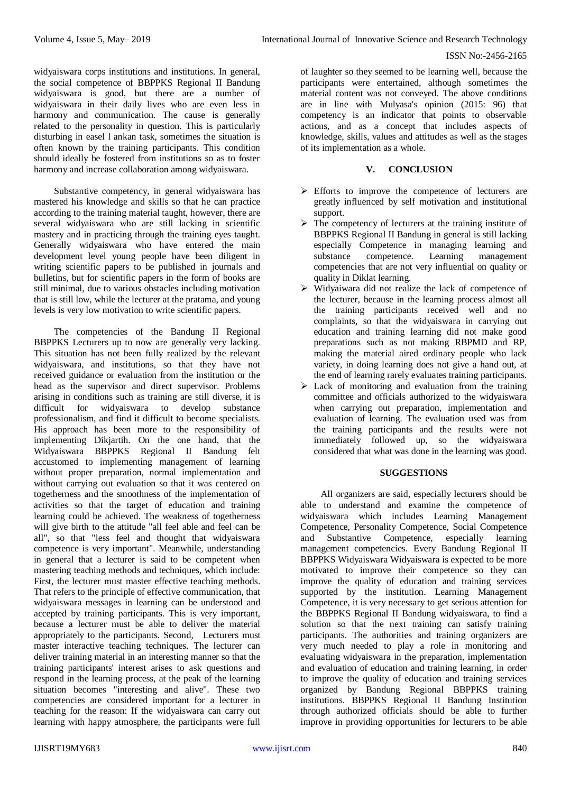### ISSN No:-2456-2165

widyaiswara corps institutions and institutions. In general, the social competence of BBPPKS Regional II Bandung widyaiswara is good, but there are a number of widyaiswara in their daily lives who are even less in harmony and communication. The cause is generally related to the personality in question. This is particularly disturbing in easel l ankan task, sometimes the situation is often known by the training participants. This condition should ideally be fostered from institutions so as to foster harmony and increase collaboration among widyaiswara.

Substantive competency, in general widyaiswara has mastered his knowledge and skills so that he can practice according to the training material taught, however, there are several widyaiswara who are still lacking in scientific mastery and in practicing through the training eyes taught. Generally widyaiswara who have entered the main development level young people have been diligent in writing scientific papers to be published in journals and bulletins, but for scientific papers in the form of books are still minimal, due to various obstacles including motivation that is still low, while the lecturer at the pratama, and young levels is very low motivation to write scientific papers.

The competencies of the Bandung II Regional BBPPKS Lecturers up to now are generally very lacking. This situation has not been fully realized by the relevant widyaiswara, and institutions, so that they have not received guidance or evaluation from the institution or the head as the supervisor and direct supervisor. Problems arising in conditions such as training are still diverse, it is widyaiswara to develop substance professionalism, and find it difficult to become specialists. His approach has been more to the responsibility of implementing Dikjartih. On the one hand, that the Widyaiswara BBPPKS Regional II Bandung felt accustomed to implementing management of learning without proper preparation, normal implementation and without carrying out evaluation so that it was centered on togetherness and the smoothness of the implementation of activities so that the target of education and training learning could be achieved. The weakness of togetherness will give birth to the attitude "all feel able and feel can be all", so that "less feel and thought that widyaiswara competence is very important". Meanwhile, understanding in general that a lecturer is said to be competent when mastering teaching methods and techniques, which include: First, the lecturer must master effective teaching methods. That refers to the principle of effective communication, that widyaiswara messages in learning can be understood and accepted by training participants. This is very important, because a lecturer must be able to deliver the material appropriately to the participants. Second, Lecturers must master interactive teaching techniques. The lecturer can deliver training material in an interesting manner so that the training participants' interest arises to ask questions and respond in the learning process, at the peak of the learning situation becomes "interesting and alive". These two competencies are considered important for a lecturer in teaching for the reason: If the widyaiswara can carry out learning with happy atmosphere, the participants were full

of laughter so they seemed to be learning well, because the participants were entertained, although sometimes the material content was not conveyed. The above conditions are in line with Mulyasa's opinion (2015: 96) that competency is an indicator that points to observable actions, and as a concept that includes aspects of knowledge, skills, values and attitudes as well as the stages of its implementation as a whole.

# **V. CONCLUSION**

- Efforts to improve the competence of lecturers are greatly influenced by self motivation and institutional support.
- $\triangleright$  The competency of lecturers at the training institute of BBPPKS Regional II Bandung in general is still lacking especially Competence in managing learning and substance competence. Learning management competencies that are not very influential on quality or quality in Diklat learning.
- $\triangleright$  Widyaiwara did not realize the lack of competence of the lecturer, because in the learning process almost all the training participants received well and no complaints, so that the widyaiswara in carrying out education and training learning did not make good preparations such as not making RBPMD and RP, making the material aired ordinary people who lack variety, in doing learning does not give a hand out, at the end of learning rarely evaluates training participants.
- $\triangleright$  Lack of monitoring and evaluation from the training committee and officials authorized to the widyaiswara when carrying out preparation, implementation and evaluation of learning. The evaluation used was from the training participants and the results were not immediately followed up, so the widyaiswara considered that what was done in the learning was good.

## **SUGGESTIONS**

All organizers are said, especially lecturers should be able to understand and examine the competence of widyaiswara which includes Learning Management Competence, Personality Competence, Social Competence and Substantive Competence, especially learning management competencies. Every Bandung Regional II BBPPKS Widyaiswara Widyaiswara is expected to be more motivated to improve their competence so they can improve the quality of education and training services supported by the institution. Learning Management Competence, it is very necessary to get serious attention for the BBPPKS Regional II Bandung widyaiswara, to find a solution so that the next training can satisfy training participants. The authorities and training organizers are very much needed to play a role in monitoring and evaluating widyaiswara in the preparation, implementation and evaluation of education and training learning, in order to improve the quality of education and training services organized by Bandung Regional BBPPKS training institutions. BBPPKS Regional II Bandung Institution through authorized officials should be able to further improve in providing opportunities for lecturers to be able